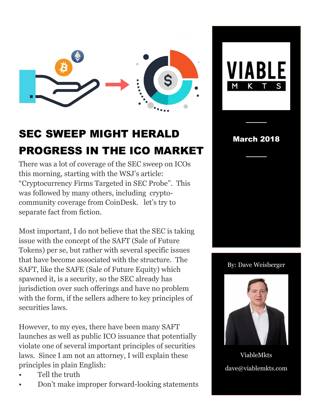

## SEC SWEEP MIGHT HERALD PROGRESS IN THE ICO MARKET

There was a lot of coverage of the SEC sweep on ICOs this morning, starting with the WSJ's article: "Cryptocurrency Firms Targeted in SEC Probe". This was followed by many others, including cryptocommunity coverage from CoinDesk. let's try to separate fact from fiction.

Most important, I do not believe that the SEC is taking issue with the concept of the SAFT (Sale of Future Tokens) per se, but rather with several specific issues that have become associated with the structure. The SAFT, like the SAFE (Sale of Future Equity) which spawned it, is a security, so the SEC already has jurisdiction over such offerings and have no problem with the form, if the sellers adhere to key principles of securities laws.

However, to my eyes, there have been many SAFT launches as well as public ICO issuance that potentially violate one of several important principles of securities laws. Since I am not an attorney, I will explain these principles in plain English:

- Tell the truth
- Don't make improper forward-looking statements





────

────

By: Dave Weisberger



ViableMkts dave@viablemkts.com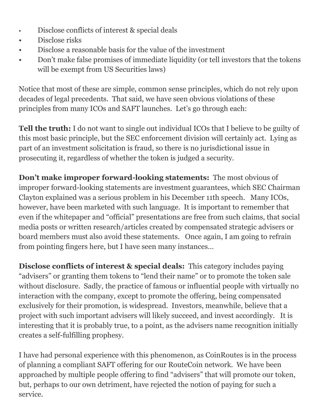- Disclose conflicts of interest & special deals
- Disclose risks
- Disclose a reasonable basis for the value of the investment
- Don't make false promises of immediate liquidity (or tell investors that the tokens will be exempt from US Securities laws)

Notice that most of these are simple, common sense principles, which do not rely upon decades of legal precedents. That said, we have seen obvious violations of these principles from many ICOs and SAFT launches. Let's go through each:

**Tell the truth:** I do not want to single out individual ICOs that I believe to be guilty of this most basic principle, but the SEC enforcement division will certainly act. Lying as part of an investment solicitation is fraud, so there is no jurisdictional issue in prosecuting it, regardless of whether the token is judged a security.

**Don't make improper forward-looking statements:** The most obvious of improper forward-looking statements are investment guarantees, which SEC Chairman Clayton explained was a serious problem in his December 11th speech. Many ICOs, however, have been marketed with such language. It is important to remember that even if the whitepaper and "official" presentations are free from such claims, that social media posts or written research/articles created by compensated strategic advisers or board members must also avoid these statements. Once again, I am going to refrain from pointing fingers here, but I have seen many instances…

**Disclose conflicts of interest & special deals:** This category includes paying "advisers" or granting them tokens to "lend their name" or to promote the token sale without disclosure. Sadly, the practice of famous or influential people with virtually no interaction with the company, except to promote the offering, being compensated exclusively for their promotion, is widespread. Investors, meanwhile, believe that a project with such important advisers will likely succeed, and invest accordingly. It is interesting that it is probably true, to a point, as the advisers name recognition initially creates a self-fulfilling prophesy.

I have had personal experience with this phenomenon, as CoinRoutes is in the process of planning a compliant SAFT offering for our RouteCoin network. We have been approached by multiple people offering to find "advisers" that will promote our token, but, perhaps to our own detriment, have rejected the notion of paying for such a service.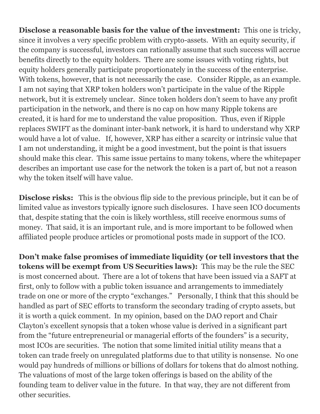**Disclose a reasonable basis for the value of the investment:** This one is tricky, since it involves a very specific problem with crypto-assets. With an equity security, if the company is successful, investors can rationally assume that such success will accrue benefits directly to the equity holders. There are some issues with voting rights, but equity holders generally participate proportionately in the success of the enterprise. With tokens, however, that is not necessarily the case. Consider Ripple, as an example. I am not saying that XRP token holders won't participate in the value of the Ripple network, but it is extremely unclear. Since token holders don't seem to have any profit participation in the network, and there is no cap on how many Ripple tokens are created, it is hard for me to understand the value proposition. Thus, even if Ripple replaces SWIFT as the dominant inter-bank network, it is hard to understand why XRP would have a lot of value. If, however, XRP has either a scarcity or intrinsic value that I am not understanding, it might be a good investment, but the point is that issuers should make this clear. This same issue pertains to many tokens, where the whitepaper describes an important use case for the network the token is a part of, but not a reason why the token itself will have value.

**Disclose risks:** This is the obvious flip side to the previous principle, but it can be of limited value as investors typically ignore such disclosures. I have seen ICO documents that, despite stating that the coin is likely worthless, still receive enormous sums of money. That said, it is an important rule, and is more important to be followed when affiliated people produce articles or promotional posts made in support of the ICO.

**Don't make false promises of immediate liquidity (or tell investors that the tokens will be exempt from US Securities laws):** This may be the rule the SEC is most concerned about. There are a lot of tokens that have been issued via a SAFT at first, only to follow with a public token issuance and arrangements to immediately trade on one or more of the crypto "exchanges." Personally, I think that this should be handled as part of SEC efforts to transform the secondary trading of crypto assets, but it is worth a quick comment. In my opinion, based on the DAO report and Chair Clayton's excellent synopsis that a token whose value is derived in a significant part from the "future entrepreneurial or managerial efforts of the founders" is a security, most ICOs are securities. The notion that some limited initial utility means that a token can trade freely on unregulated platforms due to that utility is nonsense. No one would pay hundreds of millions or billions of dollars for tokens that do almost nothing. The valuations of most of the large token offerings is based on the ability of the founding team to deliver value in the future. In that way, they are not different from other securities.